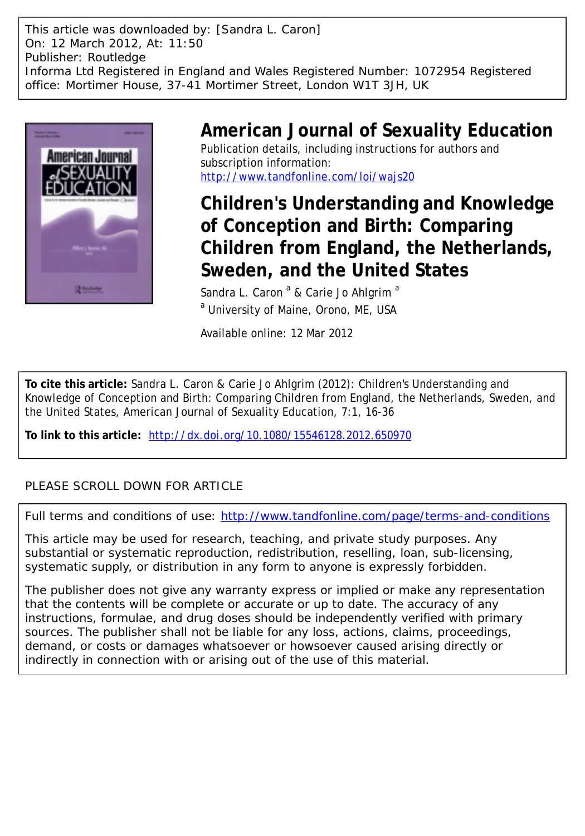This article was downloaded by: [Sandra L. Caron] On: 12 March 2012, At: 11:50 Publisher: Routledge Informa Ltd Registered in England and Wales Registered Number: 1072954 Registered office: Mortimer House, 37-41 Mortimer Street, London W1T 3JH, UK



# **American Journal of Sexuality Education**

Publication details, including instructions for authors and subscription information: <http://www.tandfonline.com/loi/wajs20>

# **Children's Understanding and Knowledge of Conception and Birth: Comparing Children from England, the Netherlands, Sweden, and the United States**

Sandra L. Caron<sup>a</sup> & Carie Jo Ahlgrim<sup>a</sup> <sup>a</sup> University of Maine, Orono, ME, USA

Available online: 12 Mar 2012

**To cite this article:** Sandra L. Caron & Carie Jo Ahlgrim (2012): Children's Understanding and Knowledge of Conception and Birth: Comparing Children from England, the Netherlands, Sweden, and the United States, American Journal of Sexuality Education, 7:1, 16-36

**To link to this article:** <http://dx.doi.org/10.1080/15546128.2012.650970>

# PLEASE SCROLL DOWN FOR ARTICLE

Full terms and conditions of use:<http://www.tandfonline.com/page/terms-and-conditions>

This article may be used for research, teaching, and private study purposes. Any substantial or systematic reproduction, redistribution, reselling, loan, sub-licensing, systematic supply, or distribution in any form to anyone is expressly forbidden.

The publisher does not give any warranty express or implied or make any representation that the contents will be complete or accurate or up to date. The accuracy of any instructions, formulae, and drug doses should be independently verified with primary sources. The publisher shall not be liable for any loss, actions, claims, proceedings, demand, or costs or damages whatsoever or howsoever caused arising directly or indirectly in connection with or arising out of the use of this material.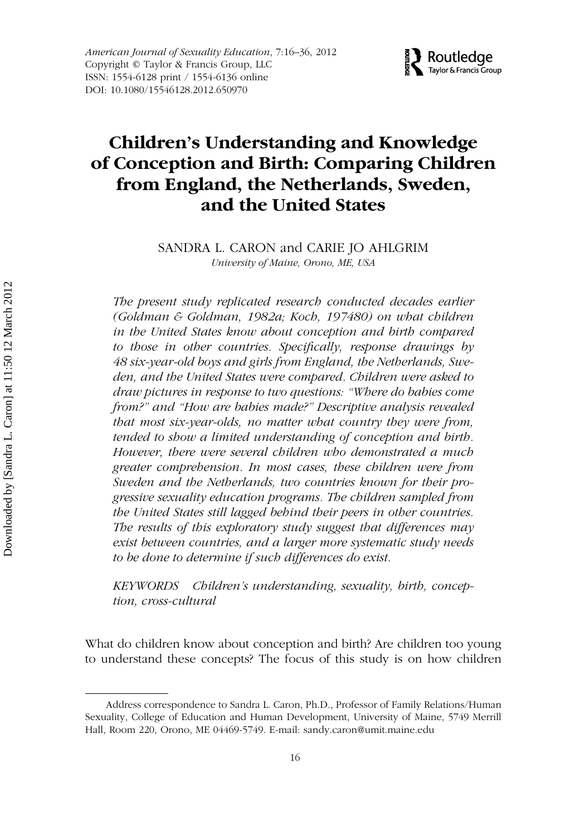*American Journal of Sexuality Education*, 7:16–36, 2012 Copyright © Taylor & Francis Group, LLC ISSN: 1554-6128 print / 1554-6136 online DOI: 10.1080/15546128.2012.650970

## **EXP** Routledge Taylor & Francis Group

# **Children's Understanding and Knowledge of Conception and Birth: Comparing Children from England, the Netherlands, Sweden, and the United States**

SANDRA L. CARON and CARIE JO AHLGRIM *University of Maine, Orono, ME, USA*

*The present study replicated research conducted decades earlier (Goldman & Goldman, 1982a; Koch, 197480) on what children in the United States know about conception and birth compared to those in other countries. Specifically, response drawings by 48 six-year-old boys and girls from England, the Netherlands, Sweden, and the United States were compared. Children were asked to draw pictures in response to two questions: "Where do babies come from?" and "How are babies made?" Descriptive analysis revealed that most six-year-olds, no matter what country they were from, tended to show a limited understanding of conception and birth. However, there were several children who demonstrated a much greater comprehension. In most cases, these children were from Sweden and the Netherlands, two countries known for their progressive sexuality education programs. The children sampled from the United States still lagged behind their peers in other countries. The results of this exploratory study suggest that differences may exist between countries, and a larger more systematic study needs to be done to determine if such differences do exist.*

*KEYWORDS Children's understanding, sexuality, birth, conception, cross-cultural*

What do children know about conception and birth? Are children too young to understand these concepts? The focus of this study is on how children

Address correspondence to Sandra L. Caron, Ph.D., Professor of Family Relations/Human Sexuality, College of Education and Human Development, University of Maine, 5749 Merrill Hall, Room 220, Orono, ME 04469-5749. E-mail: sandy.caron@umit.maine.edu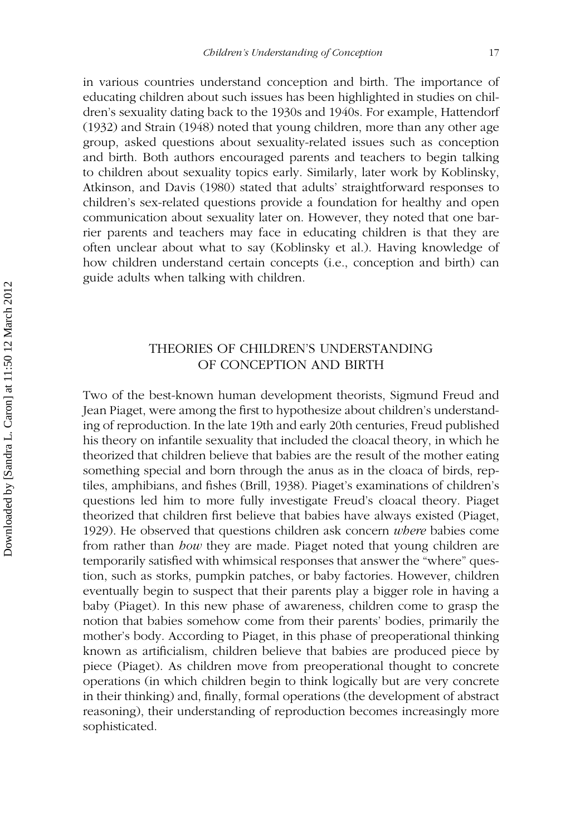in various countries understand conception and birth. The importance of educating children about such issues has been highlighted in studies on children's sexuality dating back to the 1930s and 1940s. For example, Hattendorf (1932) and Strain (1948) noted that young children, more than any other age group, asked questions about sexuality-related issues such as conception and birth. Both authors encouraged parents and teachers to begin talking to children about sexuality topics early. Similarly, later work by Koblinsky, Atkinson, and Davis (1980) stated that adults' straightforward responses to children's sex-related questions provide a foundation for healthy and open communication about sexuality later on. However, they noted that one barrier parents and teachers may face in educating children is that they are often unclear about what to say (Koblinsky et al.). Having knowledge of how children understand certain concepts (i.e., conception and birth) can guide adults when talking with children.

## THEORIES OF CHILDREN'S UNDERSTANDING OF CONCEPTION AND BIRTH

Two of the best-known human development theorists, Sigmund Freud and Jean Piaget, were among the first to hypothesize about children's understanding of reproduction. In the late 19th and early 20th centuries, Freud published his theory on infantile sexuality that included the cloacal theory, in which he theorized that children believe that babies are the result of the mother eating something special and born through the anus as in the cloaca of birds, reptiles, amphibians, and fishes (Brill, 1938). Piaget's examinations of children's questions led him to more fully investigate Freud's cloacal theory. Piaget theorized that children first believe that babies have always existed (Piaget, 1929). He observed that questions children ask concern *where* babies come from rather than *how* they are made. Piaget noted that young children are temporarily satisfied with whimsical responses that answer the "where" question, such as storks, pumpkin patches, or baby factories. However, children eventually begin to suspect that their parents play a bigger role in having a baby (Piaget). In this new phase of awareness, children come to grasp the notion that babies somehow come from their parents' bodies, primarily the mother's body. According to Piaget, in this phase of preoperational thinking known as artificialism, children believe that babies are produced piece by piece (Piaget). As children move from preoperational thought to concrete operations (in which children begin to think logically but are very concrete in their thinking) and, finally, formal operations (the development of abstract reasoning), their understanding of reproduction becomes increasingly more sophisticated.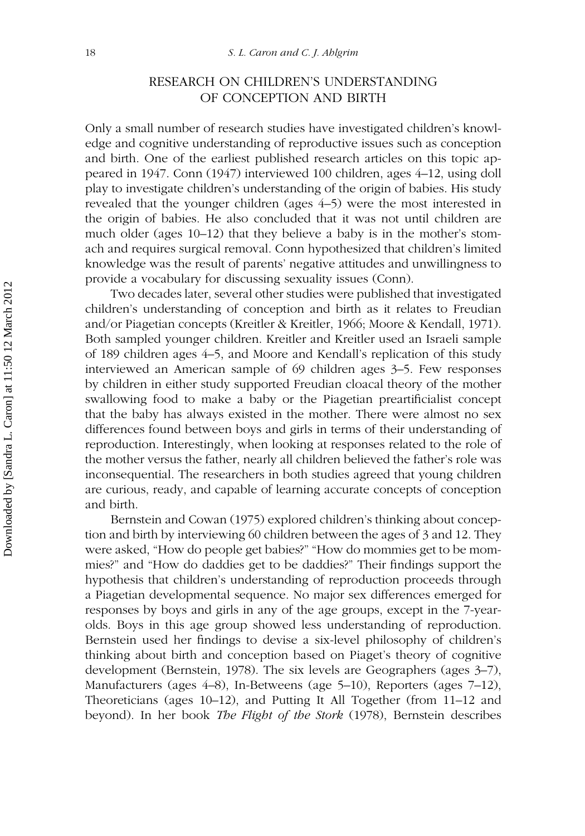## RESEARCH ON CHILDREN'S UNDERSTANDING OF CONCEPTION AND BIRTH

Only a small number of research studies have investigated children's knowledge and cognitive understanding of reproductive issues such as conception and birth. One of the earliest published research articles on this topic appeared in 1947. Conn (1947) interviewed 100 children, ages 4–12, using doll play to investigate children's understanding of the origin of babies. His study revealed that the younger children (ages 4–5) were the most interested in the origin of babies. He also concluded that it was not until children are much older (ages 10–12) that they believe a baby is in the mother's stomach and requires surgical removal. Conn hypothesized that children's limited knowledge was the result of parents' negative attitudes and unwillingness to provide a vocabulary for discussing sexuality issues (Conn).

Two decades later, several other studies were published that investigated children's understanding of conception and birth as it relates to Freudian and/or Piagetian concepts (Kreitler & Kreitler, 1966; Moore & Kendall, 1971). Both sampled younger children. Kreitler and Kreitler used an Israeli sample of 189 children ages 4–5, and Moore and Kendall's replication of this study interviewed an American sample of 69 children ages 3–5. Few responses by children in either study supported Freudian cloacal theory of the mother swallowing food to make a baby or the Piagetian preartificialist concept that the baby has always existed in the mother. There were almost no sex differences found between boys and girls in terms of their understanding of reproduction. Interestingly, when looking at responses related to the role of the mother versus the father, nearly all children believed the father's role was inconsequential. The researchers in both studies agreed that young children are curious, ready, and capable of learning accurate concepts of conception and birth.

Bernstein and Cowan (1975) explored children's thinking about conception and birth by interviewing 60 children between the ages of 3 and 12. They were asked, "How do people get babies?" "How do mommies get to be mommies?" and "How do daddies get to be daddies?" Their findings support the hypothesis that children's understanding of reproduction proceeds through a Piagetian developmental sequence. No major sex differences emerged for responses by boys and girls in any of the age groups, except in the 7-yearolds. Boys in this age group showed less understanding of reproduction. Bernstein used her findings to devise a six-level philosophy of children's thinking about birth and conception based on Piaget's theory of cognitive development (Bernstein, 1978). The six levels are Geographers (ages 3–7), Manufacturers (ages 4–8), In-Betweens (age 5–10), Reporters (ages 7–12), Theoreticians (ages 10–12), and Putting It All Together (from 11–12 and beyond). In her book *The Flight of the Stork* (1978), Bernstein describes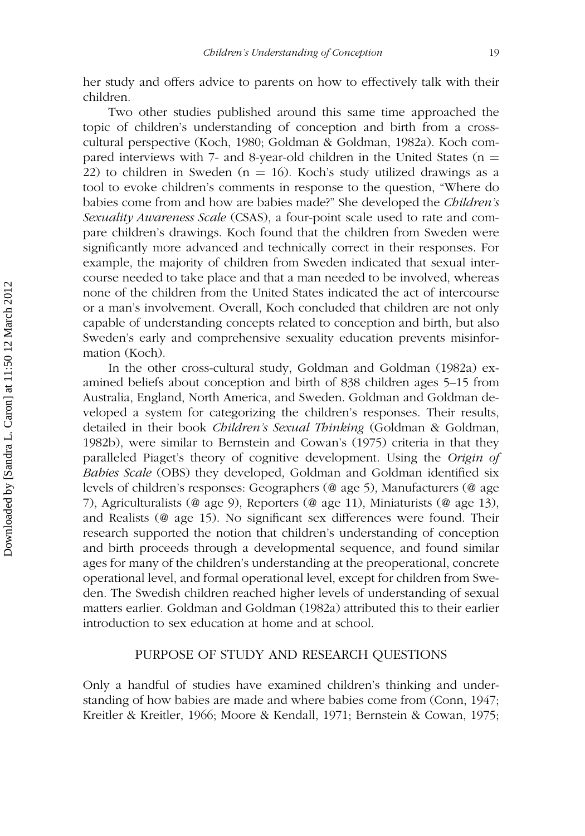her study and offers advice to parents on how to effectively talk with their children.

Two other studies published around this same time approached the topic of children's understanding of conception and birth from a crosscultural perspective (Koch, 1980; Goldman & Goldman, 1982a). Koch compared interviews with  $7-$  and 8-year-old children in the United States ( $n =$ 22) to children in Sweden ( $n = 16$ ). Koch's study utilized drawings as a tool to evoke children's comments in response to the question, "Where do babies come from and how are babies made?" She developed the *Children's Sexuality Awareness Scale* (CSAS), a four-point scale used to rate and compare children's drawings. Koch found that the children from Sweden were significantly more advanced and technically correct in their responses. For example, the majority of children from Sweden indicated that sexual intercourse needed to take place and that a man needed to be involved, whereas none of the children from the United States indicated the act of intercourse or a man's involvement. Overall, Koch concluded that children are not only capable of understanding concepts related to conception and birth, but also Sweden's early and comprehensive sexuality education prevents misinformation (Koch).

In the other cross-cultural study, Goldman and Goldman (1982a) examined beliefs about conception and birth of 838 children ages 5–15 from Australia, England, North America, and Sweden. Goldman and Goldman developed a system for categorizing the children's responses. Their results, detailed in their book *Children's Sexual Thinking* (Goldman & Goldman, 1982b), were similar to Bernstein and Cowan's (1975) criteria in that they paralleled Piaget's theory of cognitive development. Using the *Origin of Babies Scale* (OBS) they developed, Goldman and Goldman identified six levels of children's responses: Geographers (@ age 5), Manufacturers (@ age 7), Agriculturalists (@ age 9), Reporters (@ age 11), Miniaturists (@ age 13), and Realists (@ age 15). No significant sex differences were found. Their research supported the notion that children's understanding of conception and birth proceeds through a developmental sequence, and found similar ages for many of the children's understanding at the preoperational, concrete operational level, and formal operational level, except for children from Sweden. The Swedish children reached higher levels of understanding of sexual matters earlier. Goldman and Goldman (1982a) attributed this to their earlier introduction to sex education at home and at school.

#### PURPOSE OF STUDY AND RESEARCH QUESTIONS

Only a handful of studies have examined children's thinking and understanding of how babies are made and where babies come from (Conn, 1947; Kreitler & Kreitler, 1966; Moore & Kendall, 1971; Bernstein & Cowan, 1975;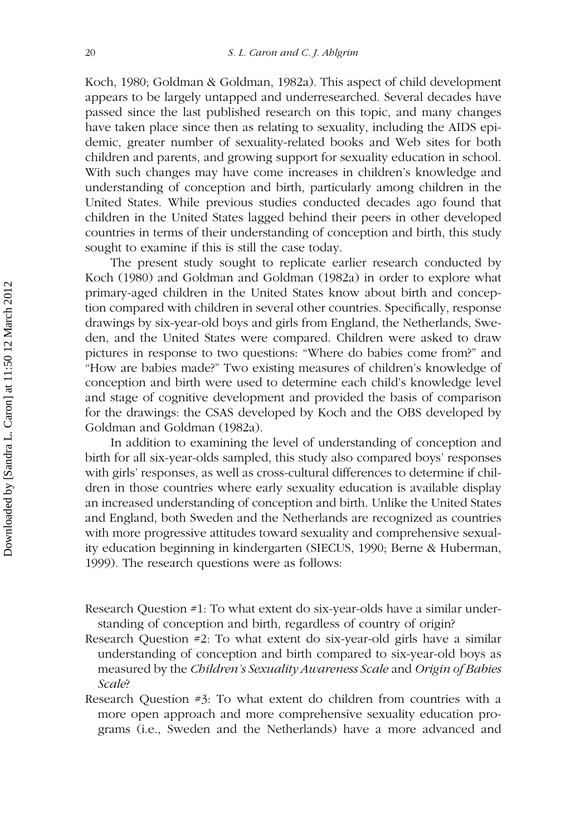Koch, 1980; Goldman & Goldman, 1982a). This aspect of child development appears to be largely untapped and underresearched. Several decades have passed since the last published research on this topic, and many changes have taken place since then as relating to sexuality, including the AIDS epidemic, greater number of sexuality-related books and Web sites for both children and parents, and growing support for sexuality education in school. With such changes may have come increases in children's knowledge and understanding of conception and birth, particularly among children in the United States. While previous studies conducted decades ago found that children in the United States lagged behind their peers in other developed countries in terms of their understanding of conception and birth, this study sought to examine if this is still the case today.

The present study sought to replicate earlier research conducted by Koch (1980) and Goldman and Goldman (1982a) in order to explore what primary-aged children in the United States know about birth and conception compared with children in several other countries. Specifically, response drawings by six-year-old boys and girls from England, the Netherlands, Sweden, and the United States were compared. Children were asked to draw pictures in response to two questions: "Where do babies come from?" and "How are babies made?" Two existing measures of children's knowledge of conception and birth were used to determine each child's knowledge level and stage of cognitive development and provided the basis of comparison for the drawings: the CSAS developed by Koch and the OBS developed by Goldman and Goldman (1982a).

In addition to examining the level of understanding of conception and birth for all six-year-olds sampled, this study also compared boys' responses with girls' responses, as well as cross-cultural differences to determine if children in those countries where early sexuality education is available display an increased understanding of conception and birth. Unlike the United States and England, both Sweden and the Netherlands are recognized as countries with more progressive attitudes toward sexuality and comprehensive sexuality education beginning in kindergarten (SIECUS, 1990; Berne & Huberman, 1999). The research questions were as follows:

Research Question #1: To what extent do six-year-olds have a similar understanding of conception and birth, regardless of country of origin?

- Research Question #2: To what extent do six-year-old girls have a similar understanding of conception and birth compared to six-year-old boys as measured by the *Children's Sexuality Awareness Scale* and *Origin of Babies Scale*?
- Research Question #3: To what extent do children from countries with a more open approach and more comprehensive sexuality education programs (i.e., Sweden and the Netherlands) have a more advanced and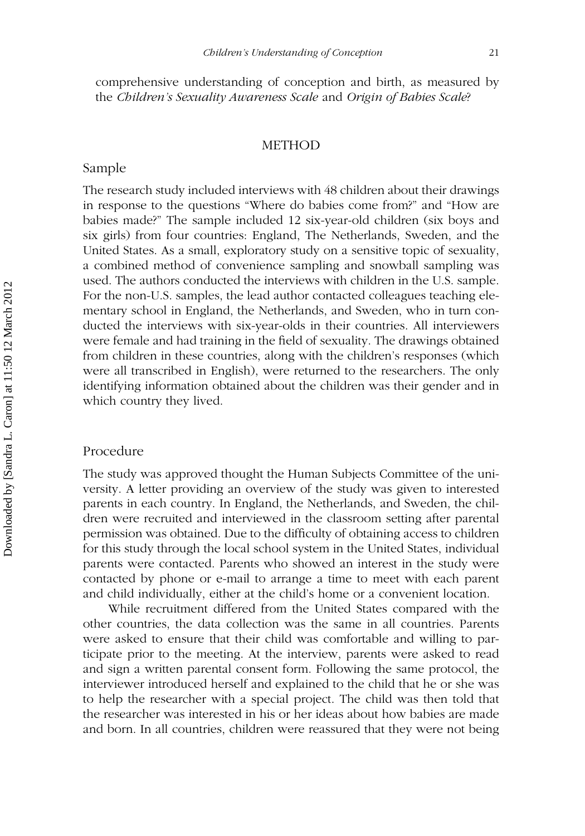comprehensive understanding of conception and birth, as measured by the *Children's Sexuality Awareness Scale* and *Origin of Babies Scale*?

### METHOD

## Sample

The research study included interviews with 48 children about their drawings in response to the questions "Where do babies come from?" and "How are babies made?" The sample included 12 six-year-old children (six boys and six girls) from four countries: England, The Netherlands, Sweden, and the United States. As a small, exploratory study on a sensitive topic of sexuality, a combined method of convenience sampling and snowball sampling was used. The authors conducted the interviews with children in the U.S. sample. For the non-U.S. samples, the lead author contacted colleagues teaching elementary school in England, the Netherlands, and Sweden, who in turn conducted the interviews with six-year-olds in their countries. All interviewers were female and had training in the field of sexuality. The drawings obtained from children in these countries, along with the children's responses (which were all transcribed in English), were returned to the researchers. The only identifying information obtained about the children was their gender and in which country they lived.

## Procedure

The study was approved thought the Human Subjects Committee of the university. A letter providing an overview of the study was given to interested parents in each country. In England, the Netherlands, and Sweden, the children were recruited and interviewed in the classroom setting after parental permission was obtained. Due to the difficulty of obtaining access to children for this study through the local school system in the United States, individual parents were contacted. Parents who showed an interest in the study were contacted by phone or e-mail to arrange a time to meet with each parent and child individually, either at the child's home or a convenient location.

While recruitment differed from the United States compared with the other countries, the data collection was the same in all countries. Parents were asked to ensure that their child was comfortable and willing to participate prior to the meeting. At the interview, parents were asked to read and sign a written parental consent form. Following the same protocol, the interviewer introduced herself and explained to the child that he or she was to help the researcher with a special project. The child was then told that the researcher was interested in his or her ideas about how babies are made and born. In all countries, children were reassured that they were not being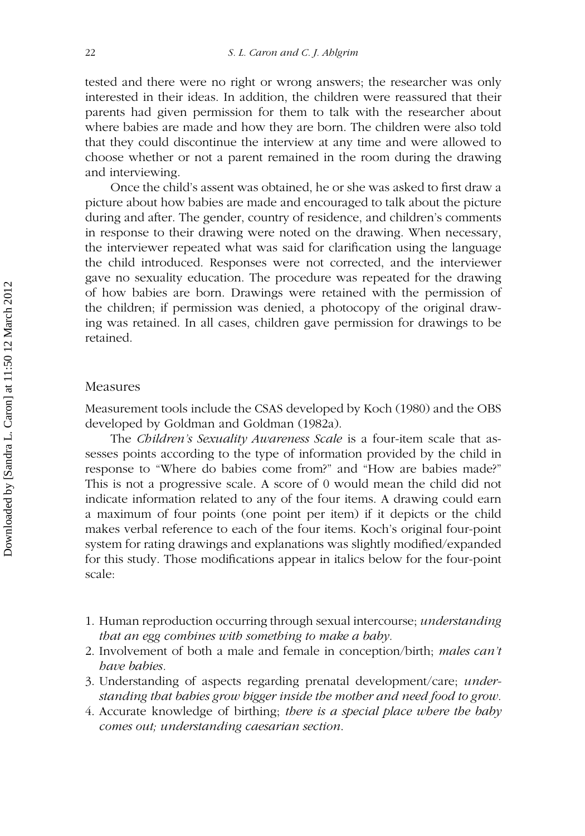tested and there were no right or wrong answers; the researcher was only interested in their ideas. In addition, the children were reassured that their parents had given permission for them to talk with the researcher about where babies are made and how they are born. The children were also told that they could discontinue the interview at any time and were allowed to choose whether or not a parent remained in the room during the drawing and interviewing.

Once the child's assent was obtained, he or she was asked to first draw a picture about how babies are made and encouraged to talk about the picture during and after. The gender, country of residence, and children's comments in response to their drawing were noted on the drawing. When necessary, the interviewer repeated what was said for clarification using the language the child introduced. Responses were not corrected, and the interviewer gave no sexuality education. The procedure was repeated for the drawing of how babies are born. Drawings were retained with the permission of the children; if permission was denied, a photocopy of the original drawing was retained. In all cases, children gave permission for drawings to be retained.

#### Measures

Measurement tools include the CSAS developed by Koch (1980) and the OBS developed by Goldman and Goldman (1982a).

The *Children's Sexuality Awareness Scale* is a four-item scale that assesses points according to the type of information provided by the child in response to "Where do babies come from?" and "How are babies made?" This is not a progressive scale. A score of 0 would mean the child did not indicate information related to any of the four items. A drawing could earn a maximum of four points (one point per item) if it depicts or the child makes verbal reference to each of the four items. Koch's original four-point system for rating drawings and explanations was slightly modified/expanded for this study. Those modifications appear in italics below for the four-point scale:

- 1. Human reproduction occurring through sexual intercourse; *understanding that an egg combines with something to make a baby.*
- 2. Involvement of both a male and female in conception/birth; *males can't have babies.*
- 3. Understanding of aspects regarding prenatal development/care; *understanding that babies grow bigger inside the mother and need food to grow.*
- 4. Accurate knowledge of birthing; *there is a special place where the baby comes out; understanding caesarian section*.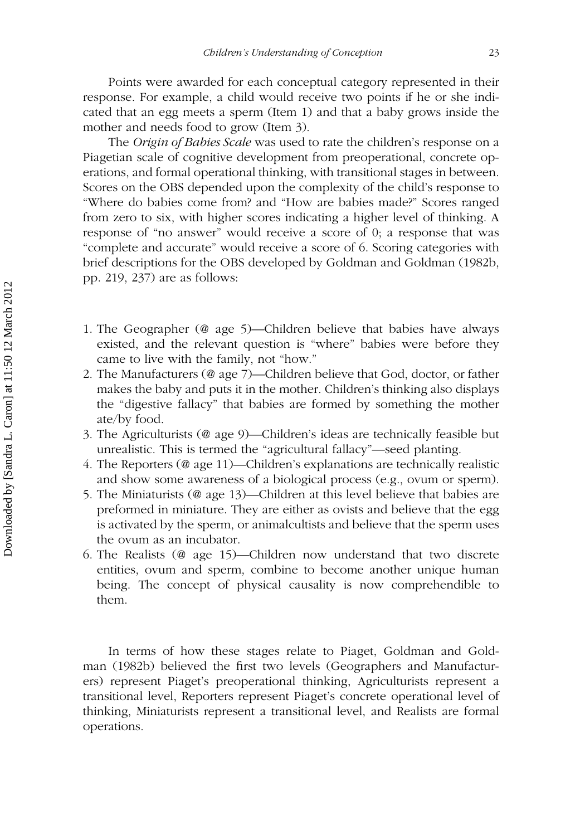Points were awarded for each conceptual category represented in their response. For example, a child would receive two points if he or she indicated that an egg meets a sperm (Item 1) and that a baby grows inside the mother and needs food to grow (Item 3).

The *Origin of Babies Scale* was used to rate the children's response on a Piagetian scale of cognitive development from preoperational, concrete operations, and formal operational thinking, with transitional stages in between. Scores on the OBS depended upon the complexity of the child's response to "Where do babies come from? and "How are babies made?" Scores ranged from zero to six, with higher scores indicating a higher level of thinking. A response of "no answer" would receive a score of 0; a response that was "complete and accurate" would receive a score of 6. Scoring categories with brief descriptions for the OBS developed by Goldman and Goldman (1982b, pp. 219, 237) are as follows:

- 1. The Geographer (@ age 5)—Children believe that babies have always existed, and the relevant question is "where" babies were before they came to live with the family, not "how."
- 2. The Manufacturers (@ age 7)—Children believe that God, doctor, or father makes the baby and puts it in the mother. Children's thinking also displays the "digestive fallacy" that babies are formed by something the mother ate/by food.
- 3. The Agriculturists (@ age 9)—Children's ideas are technically feasible but unrealistic. This is termed the "agricultural fallacy"—seed planting.
- 4. The Reporters (@ age 11)—Children's explanations are technically realistic and show some awareness of a biological process (e.g., ovum or sperm).
- 5. The Miniaturists (@ age 13)—Children at this level believe that babies are preformed in miniature. They are either as ovists and believe that the egg is activated by the sperm, or animalcultists and believe that the sperm uses the ovum as an incubator.
- 6. The Realists (@ age 15)—Children now understand that two discrete entities, ovum and sperm, combine to become another unique human being. The concept of physical causality is now comprehendible to them.

In terms of how these stages relate to Piaget, Goldman and Goldman (1982b) believed the first two levels (Geographers and Manufacturers) represent Piaget's preoperational thinking, Agriculturists represent a transitional level, Reporters represent Piaget's concrete operational level of thinking, Miniaturists represent a transitional level, and Realists are formal operations.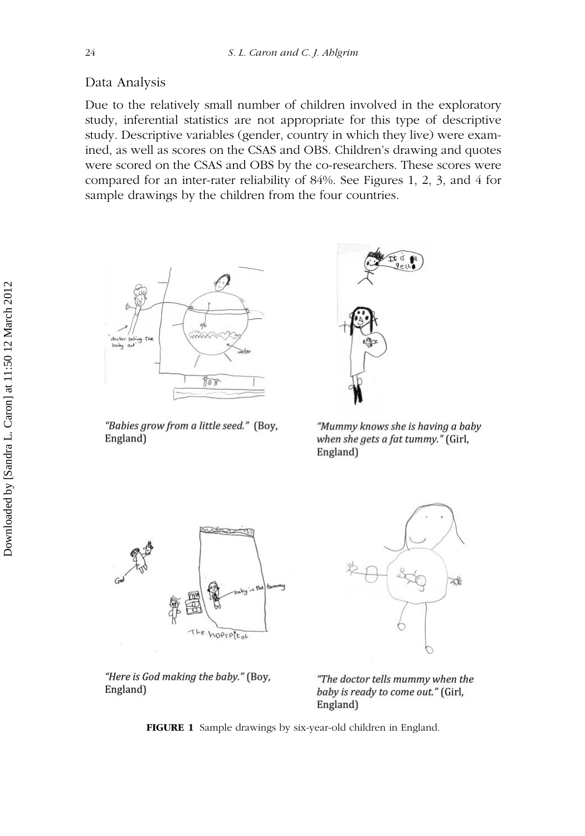## Data Analysis

Due to the relatively small number of children involved in the exploratory study, inferential statistics are not appropriate for this type of descriptive study. Descriptive variables (gender, country in which they live) were examined, as well as scores on the CSAS and OBS. Children's drawing and quotes were scored on the CSAS and OBS by the co-researchers. These scores were compared for an inter-rater reliability of 84%. See Figures 1, 2, 3, and 4 for sample drawings by the children from the four countries.



"Babies grow from a little seed." (Boy, England)

唿

It is pa

"Mummy knows she is having a baby when she gets a fat tummy." (Girl, England)



"Here is God making the baby." (Boy, England)

"The doctor tells mummy when the baby is ready to come out." (Girl, England)

**FIGURE 1** Sample drawings by six-year-old children in England.

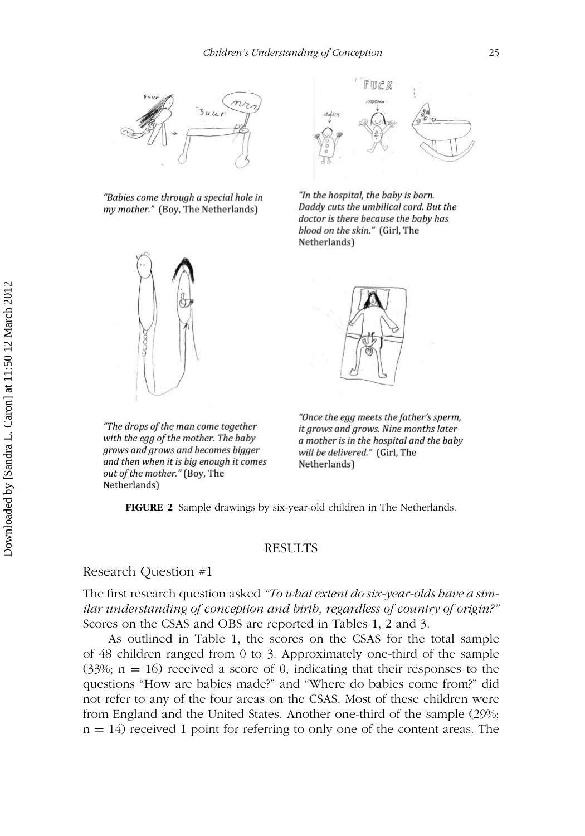

"Babies come through a special hole in my mother." (Boy, The Netherlands)



"In the hospital, the baby is born. Daddy cuts the umbilical cord. But the doctor is there because the baby has blood on the skin." (Girl, The Netherlands)





"The drops of the man come together with the egg of the mother. The baby grows and grows and becomes bigger and then when it is big enough it comes out of the mother." (Boy, The Netherlands)

"Once the egg meets the father's sperm, it grows and grows. Nine months later a mother is in the hospital and the baby will be delivered." (Girl, The Netherlands)

**FIGURE 2** Sample drawings by six-year-old children in The Netherlands.

## RESULTS

#### Research Question #1

The first research question asked *"To what extent do six-year-olds have a similar understanding of conception and birth, regardless of country of origin?"* Scores on the CSAS and OBS are reported in Tables 1, 2 and 3.

As outlined in Table 1, the scores on the CSAS for the total sample of 48 children ranged from 0 to 3. Approximately one-third of the sample  $(33\%; n = 16)$  received a score of 0, indicating that their responses to the questions "How are babies made?" and "Where do babies come from?" did not refer to any of the four areas on the CSAS. Most of these children were from England and the United States. Another one-third of the sample (29%;  $n = 14$ ) received 1 point for referring to only one of the content areas. The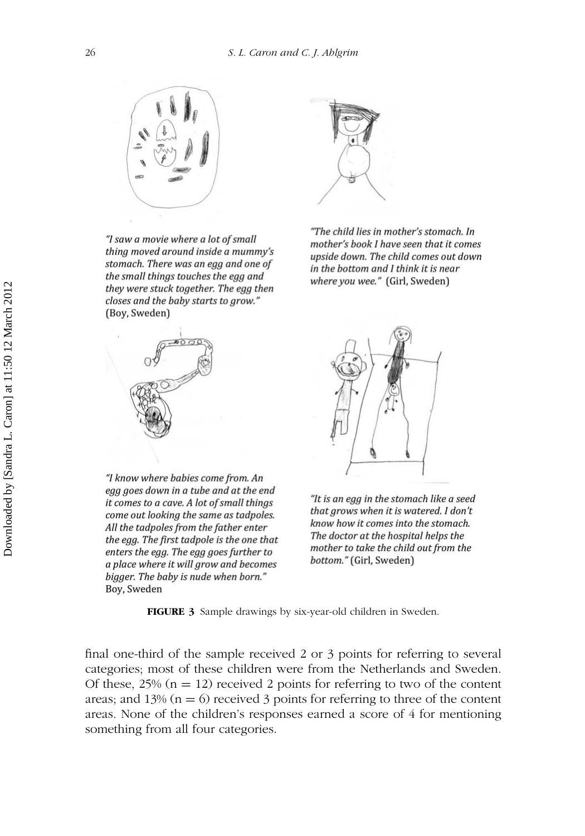

"I saw a movie where a lot of small thing moved around inside a mummy's stomach. There was an egg and one of the small things touches the egg and they were stuck together. The egg then closes and the baby starts to grow." (Boy, Sweden)



"I know where babies come from. An egg goes down in a tube and at the end it comes to a cave. A lot of small things come out looking the same as tadpoles. All the tadpoles from the father enter the egg. The first tadpole is the one that enters the egg. The egg goes further to a place where it will grow and becomes bigger. The baby is nude when born." Boy, Sweden



"The child lies in mother's stomach. In

mother's book I have seen that it comes

upside down. The child comes out down

in the bottom and I think it is near

where you wee." (Girl, Sweden)

"It is an egg in the stomach like a seed that grows when it is watered. I don't know how it comes into the stomach. The doctor at the hospital helps the mother to take the child out from the bottom." (Girl, Sweden)

**FIGURE 3** Sample drawings by six-year-old children in Sweden.

final one-third of the sample received 2 or 3 points for referring to several categories; most of these children were from the Netherlands and Sweden. Of these,  $25\%$  (n = 12) received 2 points for referring to two of the content areas; and  $13\%$  (n = 6) received 3 points for referring to three of the content areas. None of the children's responses earned a score of 4 for mentioning something from all four categories.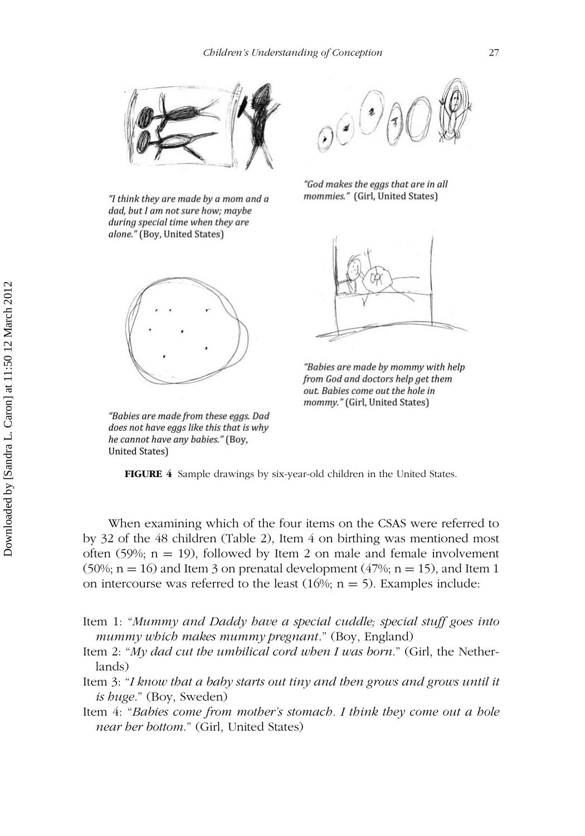

"I think they are made by a mom and a dad, but I am not sure how; maybe during special time when they are alone." (Boy, United States)



"Babies are made from these eggs. Dad does not have eggs like this that is why he cannot have any babies." (Boy, **United States**)



"God makes the eggs that are in all mommies." (Girl, United States)



"Babies are made by mommy with help from God and doctors help get them out. Babies come out the hole in mommy." (Girl, United States)

**FIGURE 4** Sample drawings by six-year-old children in the United States.

When examining which of the four items on the CSAS were referred to by 32 of the 48 children (Table 2), Item 4 on birthing was mentioned most often (59%;  $n = 19$ ), followed by Item 2 on male and female involvement  $(50\%; n = 16)$  and Item 3 on prenatal development  $(47\%; n = 15)$ , and Item 1 on intercourse was referred to the least (16%;  $n = 5$ ). Examples include:

- Item 1: "*Mummy and Daddy have a special cuddle; special stuff goes into mummy which makes mummy pregnant*." (Boy, England)
- Item 2: "*My dad cut the umbilical cord when I was born*." (Girl, the Netherlands)
- Item 3: "*I know that a baby starts out tiny and then grows and grows until it is huge*." (Boy, Sweden)
- Item 4: "*Babies come from mother's stomach. I think they come out a hole near her bottom*." (Girl, United States)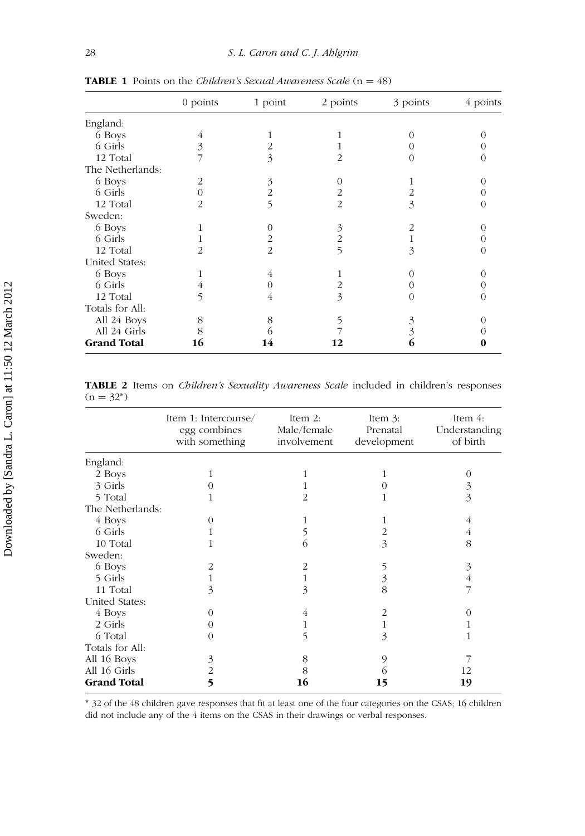|                    | 0 points | 1 point             | 2 points       | 3 points         | 4 points |
|--------------------|----------|---------------------|----------------|------------------|----------|
| England:           |          |                     |                |                  |          |
| 6 Boys             | 4        |                     |                | $\left( \right)$ |          |
| 6 Girls            | 3        | 2                   |                |                  |          |
| 12 Total           |          | 3                   | 2              | $\theta$         |          |
| The Netherlands:   |          |                     |                |                  |          |
| 6 Boys             | 2        | 3                   |                |                  |          |
| 6 Girls            | 0        | 2                   | 2              | 2                |          |
| 12 Total           | 2        | 5                   | $\overline{2}$ | 3                |          |
| Sweden:            |          |                     |                |                  |          |
| 6 Boys             |          | $\mathcal{O}$       | 3              | $\overline{2}$   |          |
| 6 Girls            | 1        | 2                   | 2              | 1                |          |
| 12 Total           | 2        | 2                   | 5              | 3                |          |
| United States:     |          |                     |                |                  |          |
| 6 Boys             | 1        | 4                   |                | $\left( \right)$ |          |
| 6 Girls            | 4        | $\scriptstyle\rm ($ | 2              | 0                |          |
| 12 Total           |          | 4                   | 3              | 0                |          |
| Totals for All:    |          |                     |                |                  |          |
| All 24 Boys        | 8        | 8                   | 5              | 3                |          |
| All 24 Girls       | 8        | ้ (า                |                | 3                |          |
| <b>Grand Total</b> | 16       | 14                  | 12             | 6                | 0        |

**TABLE 1** Points on the *Children's Sexual Awareness Scale* (n = 48)

**TABLE 2** Items on *Children's Sexuality Awareness Scale* included in children's responses  $(n = 32*)$ 

|                    | Item 1: Intercourse/<br>egg combines | Item 2:<br>Male/female | Item $3$ :<br>Prenatal | Item $4$ :<br>Understanding |  |
|--------------------|--------------------------------------|------------------------|------------------------|-----------------------------|--|
|                    | with something                       | involvement            | development            | of birth                    |  |
| England:           |                                      |                        |                        |                             |  |
| 2 Boys             | 1                                    | 1                      | 1                      | 0                           |  |
| 3 Girls            | 0                                    |                        | $\left( \right)$       | 3                           |  |
| 5 Total            |                                      | 2                      |                        | 3                           |  |
| The Netherlands:   |                                      |                        |                        |                             |  |
| 4 Boys             | 0                                    | 1                      | 1                      | 4                           |  |
| 6 Girls            |                                      | 5                      | 2                      | 4                           |  |
| 10 Total           | 1                                    | 6                      | 3                      | 8                           |  |
| Sweden:            |                                      |                        |                        |                             |  |
| 6 Boys             | 2                                    | 2                      | 5                      | 3                           |  |
| 5 Girls            | 1                                    | 1                      | 3                      | 4                           |  |
| 11 Total           | 3                                    | 3                      | 8                      |                             |  |
| United States:     |                                      |                        |                        |                             |  |
| 4 Boys             | $\theta$                             | 4                      | 2                      | $\theta$                    |  |
| 2 Girls            | $\left( \right)$                     | 1                      | 1                      |                             |  |
| 6 Total            | $\left( \right)$                     | 5                      | 3                      | 1                           |  |
| Totals for All:    |                                      |                        |                        |                             |  |
| All 16 Boys        | 3                                    | 8                      | 9                      |                             |  |
| All 16 Girls       | 2                                    | 8                      | (ገ                     | 12                          |  |
| <b>Grand Total</b> | 5                                    | 16                     | 15                     | 19                          |  |

∗ 32 of the 48 children gave responses that fit at least one of the four categories on the CSAS; 16 children did not include any of the 4 items on the CSAS in their drawings or verbal responses.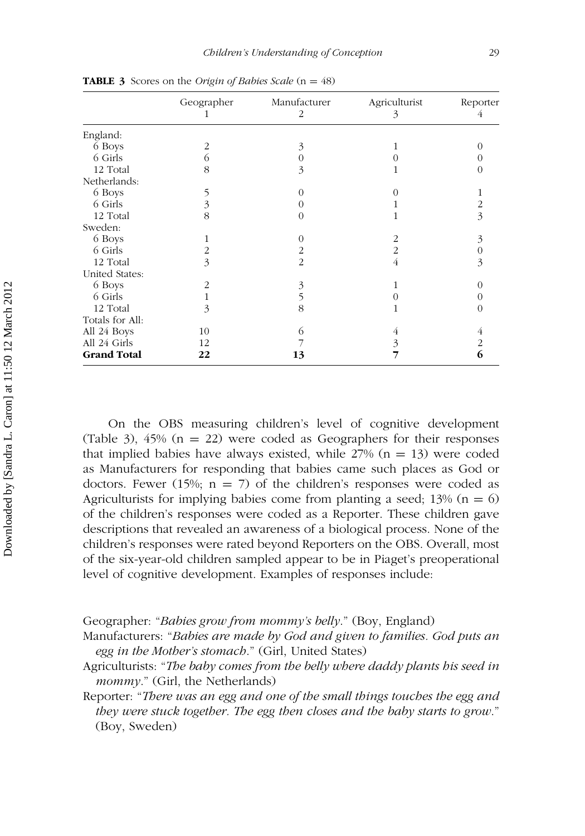|                    | Geographer | Manufacturer<br>2 | Agriculturist<br>3 | Reporter<br>4 |
|--------------------|------------|-------------------|--------------------|---------------|
| England:           |            |                   |                    |               |
| 6 Boys             | 2          | 3                 |                    |               |
| 6 Girls            | 6          | 0                 | 0                  |               |
| 12 Total           | 8          | 3                 |                    |               |
| Netherlands:       |            |                   |                    |               |
| 6 Boys             | 5          | $_{()}$           | 0                  |               |
| 6 Girls            | 3          |                   |                    | 2             |
| 12 Total           | 8          | $_{()}$           | 1                  | 3             |
| Sweden:            |            |                   |                    |               |
| 6 Boys             | 1          | O                 | 2                  | 3             |
| 6 Girls            | 2          | 2                 | 2                  |               |
| 12 Total           | 3          | 2                 | 4                  | 3             |
| United States:     |            |                   |                    |               |
| 6 Boys             | 2          | 3                 |                    |               |
| 6 Girls            | 1          | 5                 | 0                  |               |
| 12 Total           | 3          | 8                 | 1                  |               |
| Totals for All:    |            |                   |                    |               |
| All 24 Boys        | 10         | 6                 | 4                  | 4             |
| All 24 Girls       | 12         |                   | 3                  |               |
| <b>Grand Total</b> | 22         | 13                | 7                  | 6             |

**TABLE 3** Scores on the *Origin of Babies Scale*  $(n = 48)$ 

On the OBS measuring children's level of cognitive development (Table 3),  $45\%$  (n = 22) were coded as Geographers for their responses that implied babies have always existed, while  $27\%$  (n = 13) were coded as Manufacturers for responding that babies came such places as God or doctors. Fewer (15%;  $n = 7$ ) of the children's responses were coded as Agriculturists for implying babies come from planting a seed;  $13\%$  (n = 6) of the children's responses were coded as a Reporter. These children gave descriptions that revealed an awareness of a biological process. None of the children's responses were rated beyond Reporters on the OBS. Overall, most of the six-year-old children sampled appear to be in Piaget's preoperational level of cognitive development. Examples of responses include:

Geographer: "*Babies grow from mommy's belly*." (Boy, England)

Manufacturers: "*Babies are made by God and given to families. God puts an egg in the Mother's stomach*." (Girl, United States)

Agriculturists: "*The baby comes from the belly where daddy plants his seed in mommy*." (Girl, the Netherlands)

Reporter: "*There was an egg and one of the small things touches the egg and they were stuck together. The egg then closes and the baby starts to grow*." (Boy, Sweden)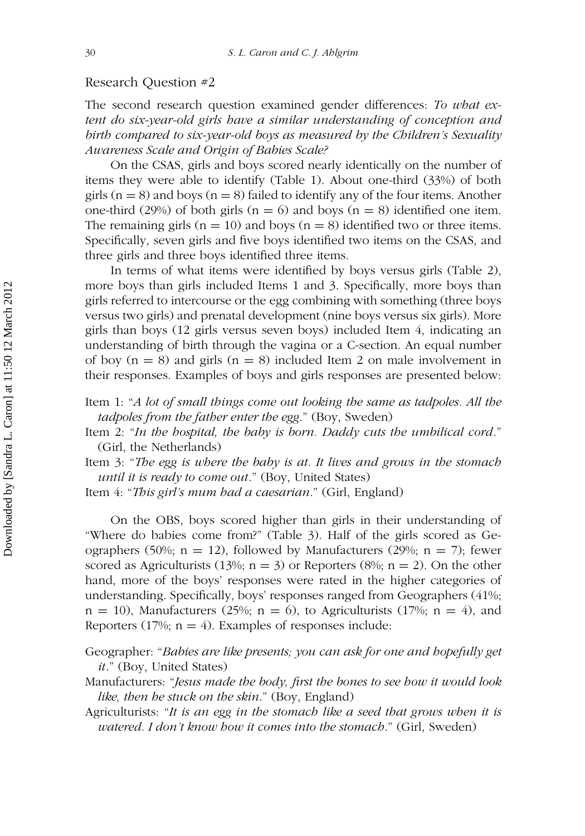## Research Question #2

The second research question examined gender differences: *To what extent do six-year-old girls have a similar understanding of conception and birth compared to six-year-old boys as measured by the Children's Sexuality Awareness Scale and Origin of Babies Scale?*

On the CSAS, girls and boys scored nearly identically on the number of items they were able to identify (Table 1). About one-third (33%) of both girls ( $n = 8$ ) and boys ( $n = 8$ ) failed to identify any of the four items. Another one-third (29%) of both girls ( $n = 6$ ) and boys ( $n = 8$ ) identified one item. The remaining girls ( $n = 10$ ) and boys ( $n = 8$ ) identified two or three items. Specifically, seven girls and five boys identified two items on the CSAS, and three girls and three boys identified three items.

In terms of what items were identified by boys versus girls (Table 2), more boys than girls included Items 1 and 3. Specifically, more boys than girls referred to intercourse or the egg combining with something (three boys versus two girls) and prenatal development (nine boys versus six girls). More girls than boys (12 girls versus seven boys) included Item 4, indicating an understanding of birth through the vagina or a C-section. An equal number of boy ( $n = 8$ ) and girls ( $n = 8$ ) included Item 2 on male involvement in their responses. Examples of boys and girls responses are presented below:

Item 1: "*A lot of small things come out looking the same as tadpoles. All the tadpoles from the father enter the egg*." (Boy, Sweden)

- Item 2: "*In the hospital, the baby is born. Daddy cuts the umbilical cord*." (Girl, the Netherlands)
- Item 3: "*The egg is where the baby is at. It lives and grows in the stomach until it is ready to come out*." (Boy, United States)

Item 4: "*This girl's mum had a caesarian*." (Girl, England)

On the OBS, boys scored higher than girls in their understanding of "Where do babies come from?" (Table 3). Half of the girls scored as Geographers (50%;  $n = 12$ ), followed by Manufacturers (29%;  $n = 7$ ); fewer scored as Agriculturists (13%;  $n = 3$ ) or Reporters (8%;  $n = 2$ ). On the other hand, more of the boys' responses were rated in the higher categories of understanding. Specifically, boys' responses ranged from Geographers (41%;  $n = 10$ ), Manufacturers (25%;  $n = 6$ ), to Agriculturists (17%;  $n = 4$ ), and Reporters (17%;  $n = 4$ ). Examples of responses include:

Geographer: "*Babies are like presents; you can ask for one and hopefully get it*." (Boy, United States)

Manufacturers: "*Jesus made the body, first the bones to see how it would look like, then he stuck on the skin*." (Boy, England)

Agriculturists: "*It is an egg in the stomach like a seed that grows when it is watered. I don't know how it comes into the stomach*." (Girl, Sweden)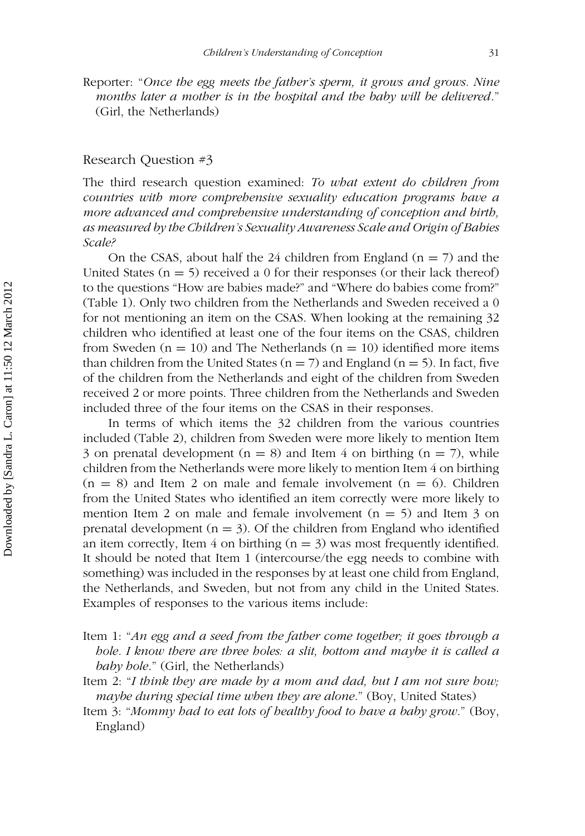Reporter: "*Once the egg meets the father's sperm, it grows and grows. Nine months later a mother is in the hospital and the baby will be delivered*." (Girl, the Netherlands)

### Research Question #3

The third research question examined: *To what extent do children from countries with more comprehensive sexuality education programs have a more advanced and comprehensive understanding of conception and birth, as measured by the Children's Sexuality Awareness Scale and Origin of Babies Scale?*

On the CSAS, about half the 24 children from England  $(n = 7)$  and the United States ( $n = 5$ ) received a 0 for their responses (or their lack thereof) to the questions "How are babies made?" and "Where do babies come from?" (Table 1). Only two children from the Netherlands and Sweden received a 0 for not mentioning an item on the CSAS. When looking at the remaining 32 children who identified at least one of the four items on the CSAS, children from Sweden ( $n = 10$ ) and The Netherlands ( $n = 10$ ) identified more items than children from the United States ( $n = 7$ ) and England ( $n = 5$ ). In fact, five of the children from the Netherlands and eight of the children from Sweden received 2 or more points. Three children from the Netherlands and Sweden included three of the four items on the CSAS in their responses.

In terms of which items the 32 children from the various countries included (Table 2), children from Sweden were more likely to mention Item 3 on prenatal development ( $n = 8$ ) and Item 4 on birthing ( $n = 7$ ), while children from the Netherlands were more likely to mention Item 4 on birthing  $(n = 8)$  and Item 2 on male and female involvement  $(n = 6)$ . Children from the United States who identified an item correctly were more likely to mention Item 2 on male and female involvement  $(n = 5)$  and Item 3 on prenatal development ( $n = 3$ ). Of the children from England who identified an item correctly, Item 4 on birthing  $(n = 3)$  was most frequently identified. It should be noted that Item 1 (intercourse/the egg needs to combine with something) was included in the responses by at least one child from England, the Netherlands, and Sweden, but not from any child in the United States. Examples of responses to the various items include:

- Item 1: "*An egg and a seed from the father come together; it goes through a hole. I know there are three holes: a slit, bottom and maybe it is called a baby hole*." (Girl, the Netherlands)
- Item 2: "*I think they are made by a mom and dad, but I am not sure how; maybe during special time when they are alone*." (Boy, United States)
- Item 3: "*Mommy had to eat lots of healthy food to have a baby grow*." (Boy, England)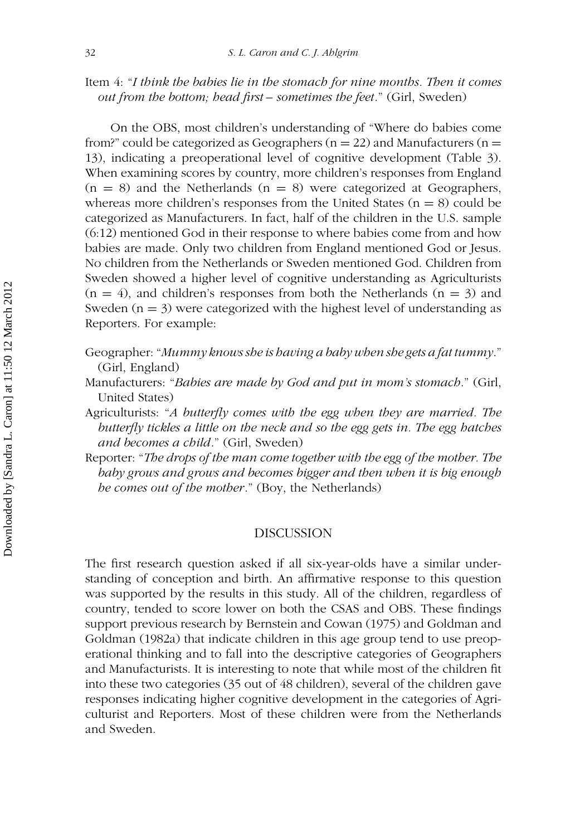## Item 4: "*I think the babies lie in the stomach for nine months. Then it comes out from the bottom; head first – sometimes the feet*." (Girl, Sweden)

On the OBS, most children's understanding of "Where do babies come from?" could be categorized as Geographers ( $n = 22$ ) and Manufacturers ( $n =$ 13), indicating a preoperational level of cognitive development (Table 3). When examining scores by country, more children's responses from England  $(n = 8)$  and the Netherlands  $(n = 8)$  were categorized at Geographers, whereas more children's responses from the United States ( $n = 8$ ) could be categorized as Manufacturers. In fact, half of the children in the U.S. sample (6:12) mentioned God in their response to where babies come from and how babies are made. Only two children from England mentioned God or Jesus. No children from the Netherlands or Sweden mentioned God. Children from Sweden showed a higher level of cognitive understanding as Agriculturists  $(n = 4)$ , and children's responses from both the Netherlands  $(n = 3)$  and Sweden  $(n = 3)$  were categorized with the highest level of understanding as Reporters. For example:

- Geographer: "*Mummy knows she is having a baby when she gets a fat tummy*." (Girl, England)
- Manufacturers: "*Babies are made by God and put in mom's stomach*." (Girl, United States)
- Agriculturists: "*A butterfly comes with the egg when they are married. The butterfly tickles a little on the neck and so the egg gets in. The egg hatches and becomes a child*." (Girl, Sweden)
- Reporter: "*The drops of the man come together with the egg of the mother. The baby grows and grows and becomes bigger and then when it is big enough he comes out of the mother*." (Boy, the Netherlands)

## DISCUSSION

The first research question asked if all six-year-olds have a similar understanding of conception and birth. An affirmative response to this question was supported by the results in this study. All of the children, regardless of country, tended to score lower on both the CSAS and OBS. These findings support previous research by Bernstein and Cowan (1975) and Goldman and Goldman (1982a) that indicate children in this age group tend to use preoperational thinking and to fall into the descriptive categories of Geographers and Manufacturists. It is interesting to note that while most of the children fit into these two categories (35 out of 48 children), several of the children gave responses indicating higher cognitive development in the categories of Agriculturist and Reporters. Most of these children were from the Netherlands and Sweden.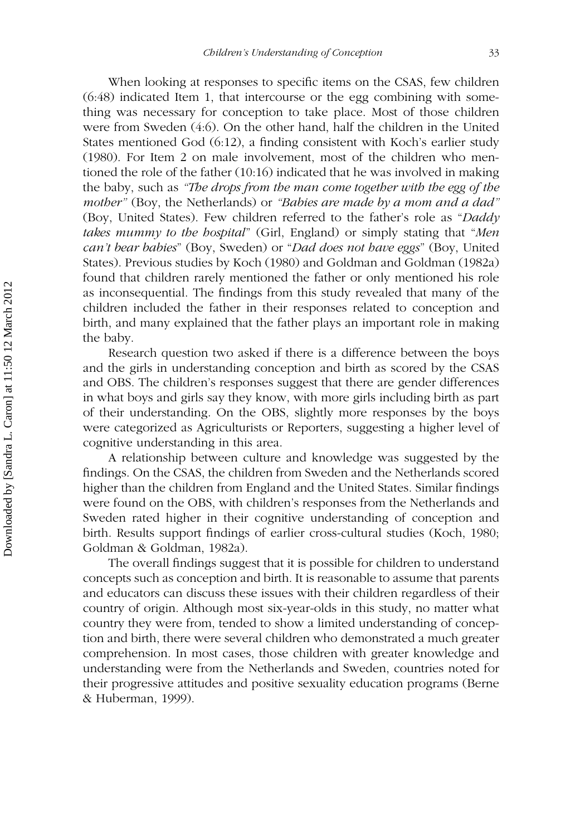When looking at responses to specific items on the CSAS, few children (6:48) indicated Item 1, that intercourse or the egg combining with something was necessary for conception to take place. Most of those children were from Sweden (4:6). On the other hand, half the children in the United States mentioned God (6:12), a finding consistent with Koch's earlier study (1980). For Item 2 on male involvement, most of the children who mentioned the role of the father (10:16) indicated that he was involved in making the baby, such as *"The drops from the man come together with the egg of the mother"* (Boy, the Netherlands) or *"Babies are made by a mom and a dad"* (Boy, United States). Few children referred to the father's role as "*Daddy takes mummy to the hospital*" (Girl, England) or simply stating that "*Men can't bear babies*" (Boy, Sweden) or "*Dad does not have eggs*" (Boy, United States). Previous studies by Koch (1980) and Goldman and Goldman (1982a) found that children rarely mentioned the father or only mentioned his role as inconsequential. The findings from this study revealed that many of the children included the father in their responses related to conception and birth, and many explained that the father plays an important role in making the baby.

Research question two asked if there is a difference between the boys and the girls in understanding conception and birth as scored by the CSAS and OBS. The children's responses suggest that there are gender differences in what boys and girls say they know, with more girls including birth as part of their understanding. On the OBS, slightly more responses by the boys were categorized as Agriculturists or Reporters, suggesting a higher level of cognitive understanding in this area.

A relationship between culture and knowledge was suggested by the findings. On the CSAS, the children from Sweden and the Netherlands scored higher than the children from England and the United States. Similar findings were found on the OBS, with children's responses from the Netherlands and Sweden rated higher in their cognitive understanding of conception and birth. Results support findings of earlier cross-cultural studies (Koch, 1980; Goldman & Goldman, 1982a).

The overall findings suggest that it is possible for children to understand concepts such as conception and birth. It is reasonable to assume that parents and educators can discuss these issues with their children regardless of their country of origin. Although most six-year-olds in this study, no matter what country they were from, tended to show a limited understanding of conception and birth, there were several children who demonstrated a much greater comprehension. In most cases, those children with greater knowledge and understanding were from the Netherlands and Sweden, countries noted for their progressive attitudes and positive sexuality education programs (Berne & Huberman, 1999).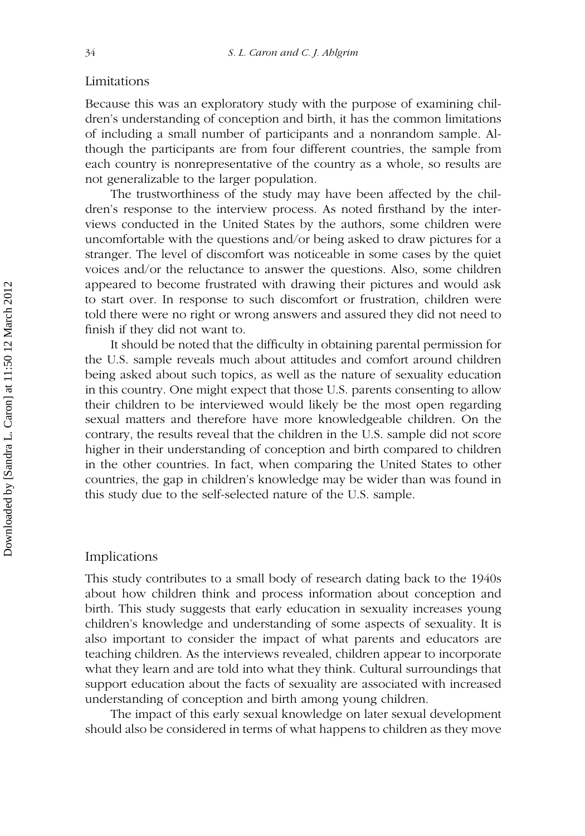## Limitations

Because this was an exploratory study with the purpose of examining children's understanding of conception and birth, it has the common limitations of including a small number of participants and a nonrandom sample. Although the participants are from four different countries, the sample from each country is nonrepresentative of the country as a whole, so results are not generalizable to the larger population.

The trustworthiness of the study may have been affected by the children's response to the interview process. As noted firsthand by the interviews conducted in the United States by the authors, some children were uncomfortable with the questions and/or being asked to draw pictures for a stranger. The level of discomfort was noticeable in some cases by the quiet voices and/or the reluctance to answer the questions. Also, some children appeared to become frustrated with drawing their pictures and would ask to start over. In response to such discomfort or frustration, children were told there were no right or wrong answers and assured they did not need to finish if they did not want to.

It should be noted that the difficulty in obtaining parental permission for the U.S. sample reveals much about attitudes and comfort around children being asked about such topics, as well as the nature of sexuality education in this country. One might expect that those U.S. parents consenting to allow their children to be interviewed would likely be the most open regarding sexual matters and therefore have more knowledgeable children. On the contrary, the results reveal that the children in the U.S. sample did not score higher in their understanding of conception and birth compared to children in the other countries. In fact, when comparing the United States to other countries, the gap in children's knowledge may be wider than was found in this study due to the self-selected nature of the U.S. sample.

### Implications

This study contributes to a small body of research dating back to the 1940s about how children think and process information about conception and birth. This study suggests that early education in sexuality increases young children's knowledge and understanding of some aspects of sexuality. It is also important to consider the impact of what parents and educators are teaching children. As the interviews revealed, children appear to incorporate what they learn and are told into what they think. Cultural surroundings that support education about the facts of sexuality are associated with increased understanding of conception and birth among young children.

The impact of this early sexual knowledge on later sexual development should also be considered in terms of what happens to children as they move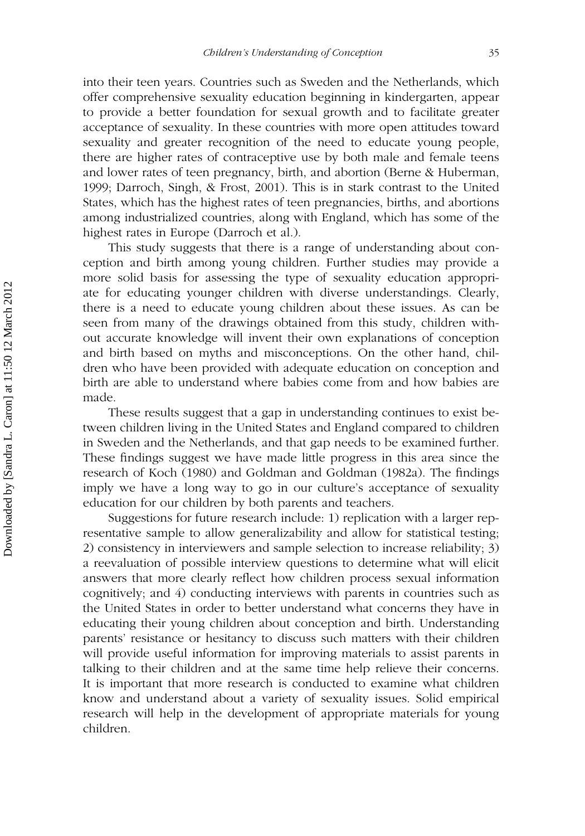into their teen years. Countries such as Sweden and the Netherlands, which offer comprehensive sexuality education beginning in kindergarten, appear to provide a better foundation for sexual growth and to facilitate greater acceptance of sexuality. In these countries with more open attitudes toward sexuality and greater recognition of the need to educate young people, there are higher rates of contraceptive use by both male and female teens and lower rates of teen pregnancy, birth, and abortion (Berne & Huberman, 1999; Darroch, Singh, & Frost, 2001). This is in stark contrast to the United States, which has the highest rates of teen pregnancies, births, and abortions among industrialized countries, along with England, which has some of the highest rates in Europe (Darroch et al.).

This study suggests that there is a range of understanding about conception and birth among young children. Further studies may provide a more solid basis for assessing the type of sexuality education appropriate for educating younger children with diverse understandings. Clearly, there is a need to educate young children about these issues. As can be seen from many of the drawings obtained from this study, children without accurate knowledge will invent their own explanations of conception and birth based on myths and misconceptions. On the other hand, children who have been provided with adequate education on conception and birth are able to understand where babies come from and how babies are made.

These results suggest that a gap in understanding continues to exist between children living in the United States and England compared to children in Sweden and the Netherlands, and that gap needs to be examined further. These findings suggest we have made little progress in this area since the research of Koch (1980) and Goldman and Goldman (1982a). The findings imply we have a long way to go in our culture's acceptance of sexuality education for our children by both parents and teachers.

Suggestions for future research include: 1) replication with a larger representative sample to allow generalizability and allow for statistical testing; 2) consistency in interviewers and sample selection to increase reliability; 3) a reevaluation of possible interview questions to determine what will elicit answers that more clearly reflect how children process sexual information cognitively; and 4) conducting interviews with parents in countries such as the United States in order to better understand what concerns they have in educating their young children about conception and birth. Understanding parents' resistance or hesitancy to discuss such matters with their children will provide useful information for improving materials to assist parents in talking to their children and at the same time help relieve their concerns. It is important that more research is conducted to examine what children know and understand about a variety of sexuality issues. Solid empirical research will help in the development of appropriate materials for young children.